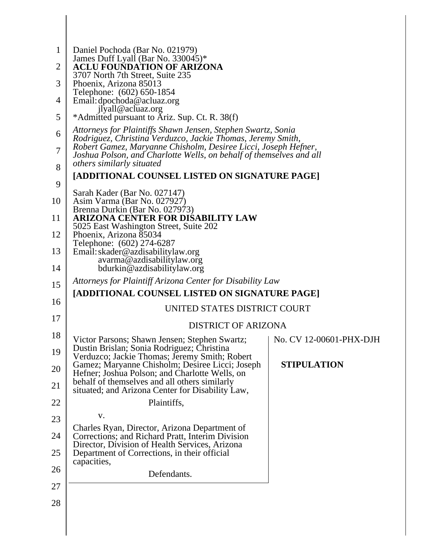| $\mathbf{1}$   | Daniel Pochoda (Bar No. 021979)                                                                                                                     |                         |  |
|----------------|-----------------------------------------------------------------------------------------------------------------------------------------------------|-------------------------|--|
| $\overline{2}$ | James Duff Lyall (Bar No. 330045)*<br><b>ACLU FOUNDATION OF ARIZONA</b>                                                                             |                         |  |
|                | 3707 North 7th Street, Suite 235                                                                                                                    |                         |  |
| 3              | Phoenix, Arizona 85013<br>Telephone: (602) 650-1854                                                                                                 |                         |  |
| $\overline{4}$ | Email: dpochoda@acluaz.org<br>jlyall@acluaz.org                                                                                                     |                         |  |
| 5              | *Admitted pursuant to Ariz. Sup. Ct. R. 38(f)                                                                                                       |                         |  |
| 6              | Attorneys for Plaintiffs Shawn Jensen, Stephen Swartz, Sonia<br>Rodriguez, Christina Verduzco, Jackie Thomas, Jeremy Smith,                         |                         |  |
| 7              | Robert Gamez, Maryanne Chisholm, Desiree Licci, Joseph Hefner,<br>Joshua Polson, and Charlotte Wells, on behalf of themselves and all               |                         |  |
| 8              | <i>others similarly situated</i>                                                                                                                    |                         |  |
| 9              | [ADDITIONAL COUNSEL LISTED ON SIGNATURE PAGE]                                                                                                       |                         |  |
| 10             | Sarah Kader (Bar No. 027147)<br>Asim Varma (Bar No. 027927)                                                                                         |                         |  |
| 11             | Brenna Durkin (Bar No. 027973)<br><b>ARIZONA CENTER FOR DISABILITY LAW</b>                                                                          |                         |  |
| 12             | 5025 East Washington Street, Suite 202<br>Phoenix, Arizona 85034                                                                                    |                         |  |
|                | Telephone: (602) 274-6287                                                                                                                           |                         |  |
| 13             | Email: skader@azdisabilitylaw.org<br>avarma@azdisabilitylaw.org                                                                                     |                         |  |
| 14             | bdurkin@azdisabilitylaw.org                                                                                                                         |                         |  |
| 15             | Attorneys for Plaintiff Arizona Center for Disability Law                                                                                           |                         |  |
| 16             | [ADDITIONAL COUNSEL LISTED ON SIGNATURE PAGE]                                                                                                       |                         |  |
|                | UNITED STATES DISTRICT COURT                                                                                                                        |                         |  |
| 17             | <b>DISTRICT OF ARIZONA</b>                                                                                                                          |                         |  |
| 18             | Victor Parsons; Shawn Jensen; Stephen Swartz;                                                                                                       | No. CV 12-00601-PHX-DJH |  |
| 19             | Dustin Brislan; Sonia Rodriguez; Christina<br>Verduzco; Jackie Thomas; Jeremy Smith; Robert                                                         |                         |  |
| 20             | Gamez; Maryanne Chisholm; Desiree Licci; Joseph                                                                                                     | <b>STIPULATION</b>      |  |
|                | Hefner; Joshua Polson; and Charlotte Wells, on<br>behalf of themselves and all others similarly                                                     |                         |  |
| 21             | situated; and Arizona Center for Disability Law,                                                                                                    |                         |  |
| 22             | Plaintiffs,                                                                                                                                         |                         |  |
| 23             | V.                                                                                                                                                  |                         |  |
| 24             | Charles Ryan, Director, Arizona Department of<br>Corrections; and Richard Pratt, Interim Division<br>Director, Division of Health Services, Arizona |                         |  |
| 25             | Department of Corrections, in their official<br>capacities,                                                                                         |                         |  |
| 26             | Defendants.                                                                                                                                         |                         |  |
| 27             |                                                                                                                                                     |                         |  |
| 28             |                                                                                                                                                     |                         |  |
|                |                                                                                                                                                     |                         |  |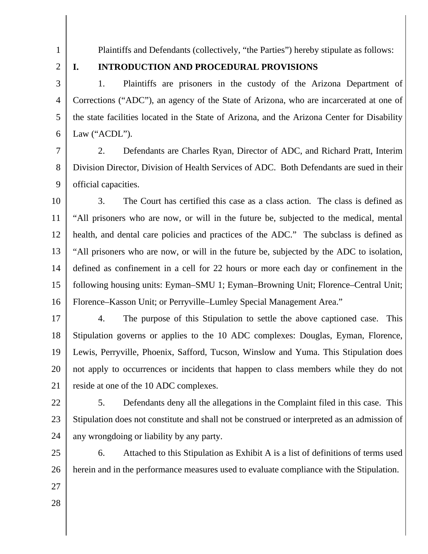- 1 2
	-

# Plaintiffs and Defendants (collectively, "the Parties") hereby stipulate as follows:

**I. INTRODUCTION AND PROCEDURAL PROVISIONS** 

3 4 5 6 1. Plaintiffs are prisoners in the custody of the Arizona Department of Corrections ("ADC"), an agency of the State of Arizona, who are incarcerated at one of the state facilities located in the State of Arizona, and the Arizona Center for Disability Law ("ACDL").

7 8 9 2. Defendants are Charles Ryan, Director of ADC, and Richard Pratt, Interim Division Director, Division of Health Services of ADC. Both Defendants are sued in their official capacities.

10 11 12 13 14 15 16 3. The Court has certified this case as a class action. The class is defined as "All prisoners who are now, or will in the future be, subjected to the medical, mental health, and dental care policies and practices of the ADC." The subclass is defined as "All prisoners who are now, or will in the future be, subjected by the ADC to isolation, defined as confinement in a cell for 22 hours or more each day or confinement in the following housing units: Eyman–SMU 1; Eyman–Browning Unit; Florence–Central Unit; Florence–Kasson Unit; or Perryville–Lumley Special Management Area."

17 18 19 20 21 4. The purpose of this Stipulation to settle the above captioned case. This Stipulation governs or applies to the 10 ADC complexes: Douglas, Eyman, Florence, Lewis, Perryville, Phoenix, Safford, Tucson, Winslow and Yuma. This Stipulation does not apply to occurrences or incidents that happen to class members while they do not reside at one of the 10 ADC complexes.

- 22 23 24 5. Defendants deny all the allegations in the Complaint filed in this case. This Stipulation does not constitute and shall not be construed or interpreted as an admission of any wrongdoing or liability by any party.
- 25 26 27 6. Attached to this Stipulation as Exhibit A is a list of definitions of terms used herein and in the performance measures used to evaluate compliance with the Stipulation.
- 28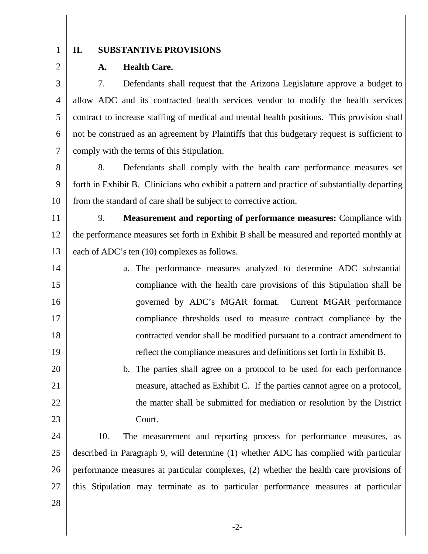1

2

### **II. SUBSTANTIVE PROVISIONS**

## **A. Health Care.**

3 4 5 6 7 7. Defendants shall request that the Arizona Legislature approve a budget to allow ADC and its contracted health services vendor to modify the health services contract to increase staffing of medical and mental health positions. This provision shall not be construed as an agreement by Plaintiffs that this budgetary request is sufficient to comply with the terms of this Stipulation.

8 9 10 8. Defendants shall comply with the health care performance measures set forth in Exhibit B. Clinicians who exhibit a pattern and practice of substantially departing from the standard of care shall be subject to corrective action.

11 12 13 9. **Measurement and reporting of performance measures:** Compliance with the performance measures set forth in Exhibit B shall be measured and reported monthly at each of ADC's ten (10) complexes as follows.

14 15 16 17 18 19 a. The performance measures analyzed to determine ADC substantial compliance with the health care provisions of this Stipulation shall be governed by ADC's MGAR format. Current MGAR performance compliance thresholds used to measure contract compliance by the contracted vendor shall be modified pursuant to a contract amendment to reflect the compliance measures and definitions set forth in Exhibit B.

20 21 22 23 b. The parties shall agree on a protocol to be used for each performance measure, attached as Exhibit C. If the parties cannot agree on a protocol, the matter shall be submitted for mediation or resolution by the District Court.

24 25 26 27 10. The measurement and reporting process for performance measures, as described in Paragraph 9, will determine (1) whether ADC has complied with particular performance measures at particular complexes, (2) whether the health care provisions of this Stipulation may terminate as to particular performance measures at particular

28

-2-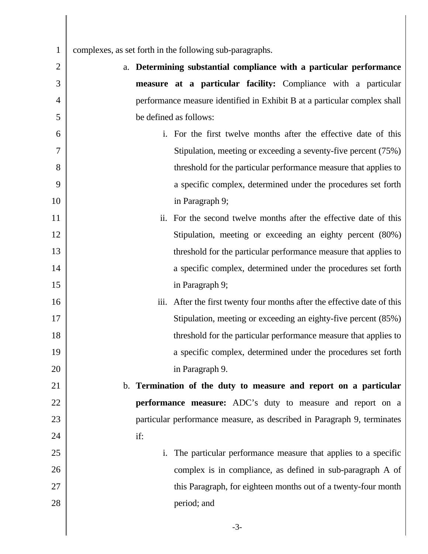| $\mathbf{1}$   | complexes, as set forth in the following sub-paragraphs.                  |  |  |
|----------------|---------------------------------------------------------------------------|--|--|
| $\overline{2}$ | a. Determining substantial compliance with a particular performance       |  |  |
| 3              | measure at a particular facility: Compliance with a particular            |  |  |
| 4              | performance measure identified in Exhibit B at a particular complex shall |  |  |
| 5              | be defined as follows:                                                    |  |  |
| 6              | i. For the first twelve months after the effective date of this           |  |  |
| 7              | Stipulation, meeting or exceeding a seventy-five percent (75%)            |  |  |
| 8              | threshold for the particular performance measure that applies to          |  |  |
| 9              | a specific complex, determined under the procedures set forth             |  |  |
| 10             | in Paragraph 9;                                                           |  |  |
| 11             | For the second twelve months after the effective date of this<br>ii.      |  |  |
| 12             | Stipulation, meeting or exceeding an eighty percent (80%)                 |  |  |
| 13             | threshold for the particular performance measure that applies to          |  |  |
| 14             | a specific complex, determined under the procedures set forth             |  |  |
| 15             | in Paragraph 9;                                                           |  |  |
| 16             | iii. After the first twenty four months after the effective date of this  |  |  |
| 17             | Stipulation, meeting or exceeding an eighty-five percent (85%)            |  |  |
| 18             | threshold for the particular performance measure that applies to          |  |  |
| 19             | a specific complex, determined under the procedures set forth             |  |  |
| 20             | in Paragraph 9.                                                           |  |  |
| 21             | b. Termination of the duty to measure and report on a particular          |  |  |
| 22             | <b>performance measure:</b> ADC's duty to measure and report on a         |  |  |
| 23             | particular performance measure, as described in Paragraph 9, terminates   |  |  |
| 24             | if:                                                                       |  |  |
| 25             | The particular performance measure that applies to a specific<br>i.       |  |  |
| 26             | complex is in compliance, as defined in sub-paragraph A of                |  |  |
| 27             | this Paragraph, for eighteen months out of a twenty-four month            |  |  |
| 28             | period; and                                                               |  |  |

-3-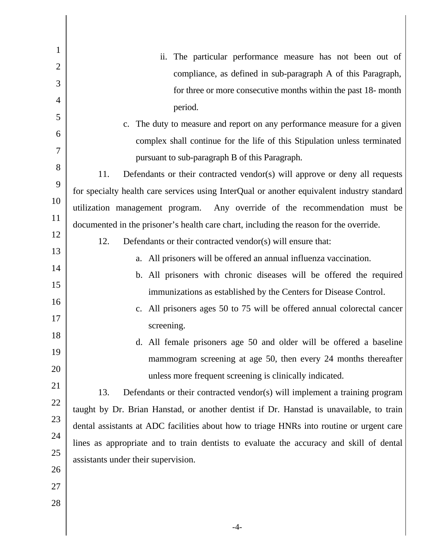| $\mathbf{1}$   |                                                                                            |
|----------------|--------------------------------------------------------------------------------------------|
| $\overline{2}$ | The particular performance measure has not been out of<br>ii.                              |
| 3              | compliance, as defined in sub-paragraph A of this Paragraph,                               |
|                | for three or more consecutive months within the past 18- month                             |
| 4              | period.                                                                                    |
| 5              | c. The duty to measure and report on any performance measure for a given                   |
| 6              | complex shall continue for the life of this Stipulation unless terminated                  |
| 7              | pursuant to sub-paragraph B of this Paragraph.                                             |
| 8              | 11.<br>Defendants or their contracted vendor(s) will approve or deny all requests          |
| 9              | for specialty health care services using InterQual or another equivalent industry standard |
| 10             | utilization management program. Any override of the recommendation must be                 |
| 11             |                                                                                            |
| 12             | documented in the prisoner's health care chart, including the reason for the override.     |
| 13             | 12.<br>Defendants or their contracted vendor(s) will ensure that:                          |
| 14             | a. All prisoners will be offered an annual influenza vaccination.                          |
| 15             | b. All prisoners with chronic diseases will be offered the required                        |
|                | immunizations as established by the Centers for Disease Control.                           |
| 16             | c. All prisoners ages 50 to 75 will be offered annual colorectal cancer                    |
| 17             | screening.                                                                                 |
| 18             | d. All female prisoners age 50 and older will be offered a baseline                        |
| 19             | mammogram screening at age 50, then every 24 months thereafter                             |
| 20             | unless more frequent screening is clinically indicated.                                    |
| 21             | 13.<br>Defendants or their contracted vendor(s) will implement a training program          |
| 22             |                                                                                            |
| 23             | taught by Dr. Brian Hanstad, or another dentist if Dr. Hanstad is unavailable, to train    |
| 24             | dental assistants at ADC facilities about how to triage HNRs into routine or urgent care   |
| 25             | lines as appropriate and to train dentists to evaluate the accuracy and skill of dental    |
| 26             | assistants under their supervision.                                                        |
| 27             |                                                                                            |
| 28             |                                                                                            |
|                |                                                                                            |
|                | -4-                                                                                        |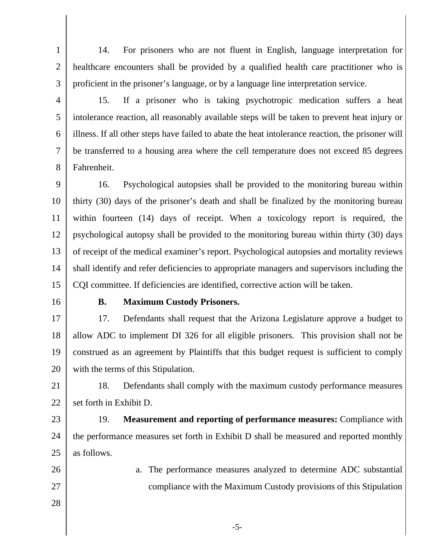14. For prisoners who are not fluent in English, language interpretation for healthcare encounters shall be provided by a qualified health care practitioner who is proficient in the prisoner's language, or by a language line interpretation service.

3 4

5

6

7

8

1

2

15. If a prisoner who is taking psychotropic medication suffers a heat intolerance reaction, all reasonably available steps will be taken to prevent heat injury or illness. If all other steps have failed to abate the heat intolerance reaction, the prisoner will be transferred to a housing area where the cell temperature does not exceed 85 degrees Fahrenheit.

9 10 11 12 13 14 15 16. Psychological autopsies shall be provided to the monitoring bureau within thirty (30) days of the prisoner's death and shall be finalized by the monitoring bureau within fourteen (14) days of receipt. When a toxicology report is required, the psychological autopsy shall be provided to the monitoring bureau within thirty (30) days of receipt of the medical examiner's report. Psychological autopsies and mortality reviews shall identify and refer deficiencies to appropriate managers and supervisors including the CQI committee. If deficiencies are identified, corrective action will be taken.

16

#### **B. Maximum Custody Prisoners.**

17 18 19 20 17. Defendants shall request that the Arizona Legislature approve a budget to allow ADC to implement DI 326 for all eligible prisoners. This provision shall not be construed as an agreement by Plaintiffs that this budget request is sufficient to comply with the terms of this Stipulation.

21 22 18. Defendants shall comply with the maximum custody performance measures set forth in Exhibit D.

23 24 25 19. **Measurement and reporting of performance measures:** Compliance with the performance measures set forth in Exhibit D shall be measured and reported monthly as follows.

- a. The performance measures analyzed to determine ADC substantial compliance with the Maximum Custody provisions of this Stipulation
- 28

26

27

-5-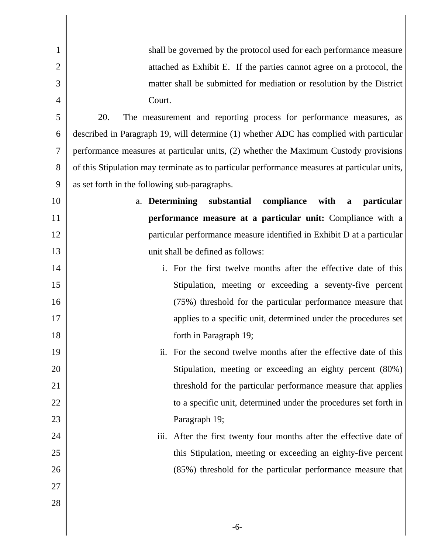| 1  | shall be governed by the protocol used for each performance measure                                |
|----|----------------------------------------------------------------------------------------------------|
| 2  | attached as Exhibit E. If the parties cannot agree on a protocol, the                              |
| 3  | matter shall be submitted for mediation or resolution by the District                              |
| 4  | Court.                                                                                             |
| 5  | 20.<br>The measurement and reporting process for performance measures, as                          |
| 6  | described in Paragraph 19, will determine (1) whether ADC has complied with particular             |
| 7  | performance measures at particular units, (2) whether the Maximum Custody provisions               |
| 8  | of this Stipulation may terminate as to particular performance measures at particular units,       |
| 9  | as set forth in the following sub-paragraphs.                                                      |
| 10 | <b>Determining</b><br>substantial<br>compliance<br>with<br><i>particular</i><br>$\mathbf{a}$<br>a. |
| 11 | performance measure at a particular unit: Compliance with a                                        |
| 12 | particular performance measure identified in Exhibit D at a particular                             |
| 13 | unit shall be defined as follows:                                                                  |
| 14 | i. For the first twelve months after the effective date of this                                    |
| 15 | Stipulation, meeting or exceeding a seventy-five percent                                           |
| 16 | (75%) threshold for the particular performance measure that                                        |
| 17 | applies to a specific unit, determined under the procedures set                                    |
| 18 | forth in Paragraph 19;                                                                             |
| 19 | ii. For the second twelve months after the effective date of this                                  |
| 20 | Stipulation, meeting or exceeding an eighty percent (80%)                                          |
| 21 | threshold for the particular performance measure that applies                                      |
| 22 | to a specific unit, determined under the procedures set forth in                                   |
| 23 | Paragraph 19;                                                                                      |
| 24 | iii. After the first twenty four months after the effective date of                                |
| 25 | this Stipulation, meeting or exceeding an eighty-five percent                                      |
| 26 | (85%) threshold for the particular performance measure that                                        |
| 27 |                                                                                                    |
| 28 |                                                                                                    |
|    |                                                                                                    |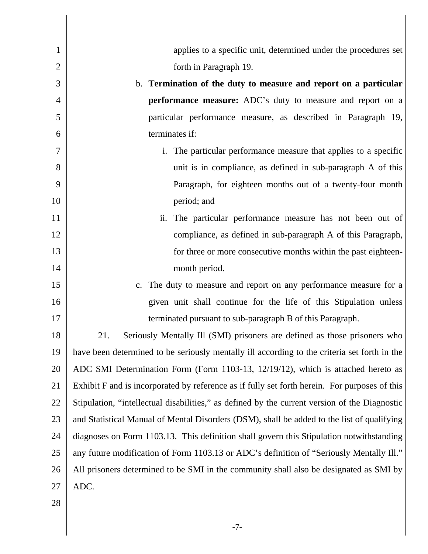| 1              | applies to a specific unit, determined under the procedures set                               |
|----------------|-----------------------------------------------------------------------------------------------|
| $\overline{2}$ | forth in Paragraph 19.                                                                        |
| 3              | b. Termination of the duty to measure and report on a particular                              |
| 4              | <b>performance measure:</b> ADC's duty to measure and report on a                             |
| 5              | particular performance measure, as described in Paragraph 19,                                 |
| 6              | terminates if:                                                                                |
| 7              | i. The particular performance measure that applies to a specific                              |
| 8              | unit is in compliance, as defined in sub-paragraph A of this                                  |
| 9              | Paragraph, for eighteen months out of a twenty-four month                                     |
| 10             |                                                                                               |
|                | period; and                                                                                   |
| 11             | ii. The particular performance measure has not been out of                                    |
| 12             | compliance, as defined in sub-paragraph A of this Paragraph,                                  |
| 13             | for three or more consecutive months within the past eighteen-                                |
| 14             | month period.                                                                                 |
| 15             | The duty to measure and report on any performance measure for a<br>c.                         |
| 16             | given unit shall continue for the life of this Stipulation unless                             |
| 17             | terminated pursuant to sub-paragraph B of this Paragraph.                                     |
| 18             | 21.<br>Seriously Mentally Ill (SMI) prisoners are defined as those prisoners who              |
| 19             | have been determined to be seriously mentally ill according to the criteria set forth in the  |
| 20             | ADC SMI Determination Form (Form 1103-13, 12/19/12), which is attached hereto as              |
| 21             | Exhibit F and is incorporated by reference as if fully set forth herein. For purposes of this |
| 22             | Stipulation, "intellectual disabilities," as defined by the current version of the Diagnostic |
| 23             | and Statistical Manual of Mental Disorders (DSM), shall be added to the list of qualifying    |
| 24             | diagnoses on Form 1103.13. This definition shall govern this Stipulation notwithstanding      |
| 25             | any future modification of Form 1103.13 or ADC's definition of "Seriously Mentally Ill."      |
| 26             | All prisoners determined to be SMI in the community shall also be designated as SMI by        |
| 27             | ADC.                                                                                          |
| 28             |                                                                                               |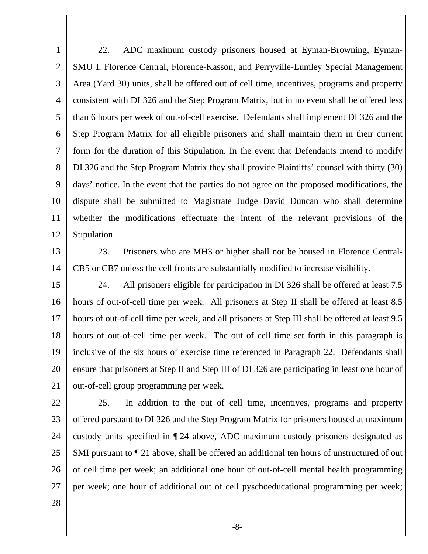1 2 3 4 5 6 7 8 9 10 11 12 22. ADC maximum custody prisoners housed at Eyman-Browning, Eyman-SMU I, Florence Central, Florence-Kasson, and Perryville-Lumley Special Management Area (Yard 30) units, shall be offered out of cell time, incentives, programs and property consistent with DI 326 and the Step Program Matrix, but in no event shall be offered less than 6 hours per week of out-of-cell exercise. Defendants shall implement DI 326 and the Step Program Matrix for all eligible prisoners and shall maintain them in their current form for the duration of this Stipulation. In the event that Defendants intend to modify DI 326 and the Step Program Matrix they shall provide Plaintiffs' counsel with thirty (30) days' notice. In the event that the parties do not agree on the proposed modifications, the dispute shall be submitted to Magistrate Judge David Duncan who shall determine whether the modifications effectuate the intent of the relevant provisions of the Stipulation.

13

14

23. Prisoners who are MH3 or higher shall not be housed in Florence Central-CB5 or CB7 unless the cell fronts are substantially modified to increase visibility.

15 16 17 18 19 20 21 24. All prisoners eligible for participation in DI 326 shall be offered at least 7.5 hours of out-of-cell time per week. All prisoners at Step II shall be offered at least 8.5 hours of out-of-cell time per week, and all prisoners at Step III shall be offered at least 9.5 hours of out-of-cell time per week. The out of cell time set forth in this paragraph is inclusive of the six hours of exercise time referenced in Paragraph 22. Defendants shall ensure that prisoners at Step II and Step III of DI 326 are participating in least one hour of out-of-cell group programming per week.

22 23 24 25 26 27 25. In addition to the out of cell time, incentives, programs and property offered pursuant to DI 326 and the Step Program Matrix for prisoners housed at maximum custody units specified in ¶ 24 above, ADC maximum custody prisoners designated as SMI pursuant to ¶ 21 above, shall be offered an additional ten hours of unstructured of out of cell time per week; an additional one hour of out-of-cell mental health programming per week; one hour of additional out of cell pyschoeducational programming per week;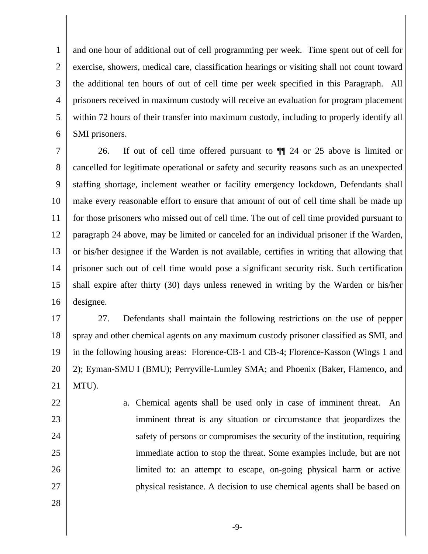1 2 3 4 5 6 and one hour of additional out of cell programming per week. Time spent out of cell for exercise, showers, medical care, classification hearings or visiting shall not count toward the additional ten hours of out of cell time per week specified in this Paragraph. All prisoners received in maximum custody will receive an evaluation for program placement within 72 hours of their transfer into maximum custody, including to properly identify all SMI prisoners.

7 8 9 10 11 12 13 14 15 16 26. If out of cell time offered pursuant to ¶¶ 24 or 25 above is limited or cancelled for legitimate operational or safety and security reasons such as an unexpected staffing shortage, inclement weather or facility emergency lockdown, Defendants shall make every reasonable effort to ensure that amount of out of cell time shall be made up for those prisoners who missed out of cell time. The out of cell time provided pursuant to paragraph 24 above, may be limited or canceled for an individual prisoner if the Warden, or his/her designee if the Warden is not available, certifies in writing that allowing that prisoner such out of cell time would pose a significant security risk. Such certification shall expire after thirty (30) days unless renewed in writing by the Warden or his/her designee.

17 18 19 20 21 27. Defendants shall maintain the following restrictions on the use of pepper spray and other chemical agents on any maximum custody prisoner classified as SMI, and in the following housing areas: Florence-CB-1 and CB-4; Florence-Kasson (Wings 1 and 2); Eyman-SMU I (BMU); Perryville-Lumley SMA; and Phoenix (Baker, Flamenco, and MTU).

> a. Chemical agents shall be used only in case of imminent threat. An imminent threat is any situation or circumstance that jeopardizes the safety of persons or compromises the security of the institution, requiring immediate action to stop the threat. Some examples include, but are not limited to: an attempt to escape, on-going physical harm or active physical resistance. A decision to use chemical agents shall be based on

28

22

23

24

25

26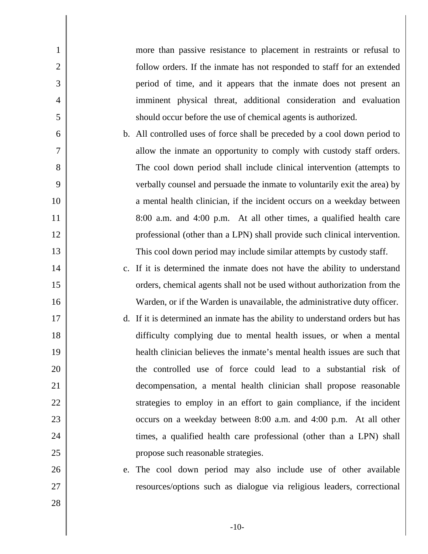more than passive resistance to placement in restraints or refusal to follow orders. If the inmate has not responded to staff for an extended period of time, and it appears that the inmate does not present an imminent physical threat, additional consideration and evaluation should occur before the use of chemical agents is authorized.

- b. All controlled uses of force shall be preceded by a cool down period to allow the inmate an opportunity to comply with custody staff orders. The cool down period shall include clinical intervention (attempts to verbally counsel and persuade the inmate to voluntarily exit the area) by a mental health clinician, if the incident occurs on a weekday between 8:00 a.m. and 4:00 p.m. At all other times, a qualified health care professional (other than a LPN) shall provide such clinical intervention. This cool down period may include similar attempts by custody staff.
	- c. If it is determined the inmate does not have the ability to understand orders, chemical agents shall not be used without authorization from the Warden, or if the Warden is unavailable, the administrative duty officer.
- d. If it is determined an inmate has the ability to understand orders but has difficulty complying due to mental health issues, or when a mental health clinician believes the inmate's mental health issues are such that the controlled use of force could lead to a substantial risk of decompensation, a mental health clinician shall propose reasonable strategies to employ in an effort to gain compliance, if the incident occurs on a weekday between 8:00 a.m. and 4:00 p.m. At all other times, a qualified health care professional (other than a LPN) shall propose such reasonable strategies.
- e. The cool down period may also include use of other available resources/options such as dialogue via religious leaders, correctional
- 28

1

2

3

4

5

6

7

8

9

10

11

12

13

14

15

16

17

18

19

20

21

22

23

24

25

26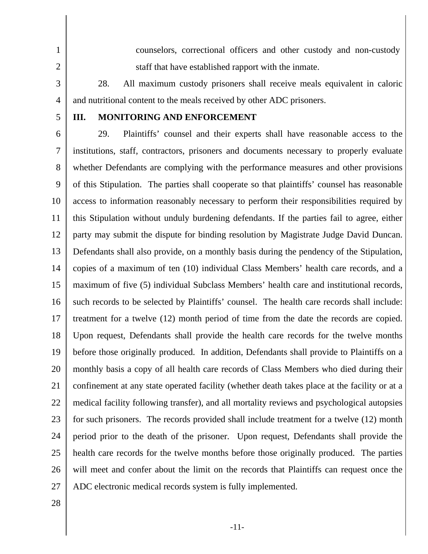1 2 counselors, correctional officers and other custody and non-custody staff that have established rapport with the inmate.

3 4 28. All maximum custody prisoners shall receive meals equivalent in caloric and nutritional content to the meals received by other ADC prisoners.

5

#### **III. MONITORING AND ENFORCEMENT**

6 7 8 9 10 11 12 13 14 15 16 17 18 19 20 21 22 23 24 25 26 27 29. Plaintiffs' counsel and their experts shall have reasonable access to the institutions, staff, contractors, prisoners and documents necessary to properly evaluate whether Defendants are complying with the performance measures and other provisions of this Stipulation. The parties shall cooperate so that plaintiffs' counsel has reasonable access to information reasonably necessary to perform their responsibilities required by this Stipulation without unduly burdening defendants. If the parties fail to agree, either party may submit the dispute for binding resolution by Magistrate Judge David Duncan. Defendants shall also provide, on a monthly basis during the pendency of the Stipulation, copies of a maximum of ten (10) individual Class Members' health care records, and a maximum of five (5) individual Subclass Members' health care and institutional records, such records to be selected by Plaintiffs' counsel. The health care records shall include: treatment for a twelve (12) month period of time from the date the records are copied. Upon request, Defendants shall provide the health care records for the twelve months before those originally produced. In addition, Defendants shall provide to Plaintiffs on a monthly basis a copy of all health care records of Class Members who died during their confinement at any state operated facility (whether death takes place at the facility or at a medical facility following transfer), and all mortality reviews and psychological autopsies for such prisoners. The records provided shall include treatment for a twelve (12) month period prior to the death of the prisoner. Upon request, Defendants shall provide the health care records for the twelve months before those originally produced. The parties will meet and confer about the limit on the records that Plaintiffs can request once the ADC electronic medical records system is fully implemented.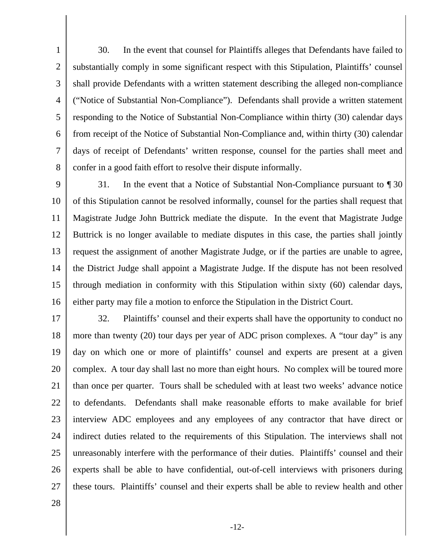1 2 3 4 5 6 7 8 30. In the event that counsel for Plaintiffs alleges that Defendants have failed to substantially comply in some significant respect with this Stipulation, Plaintiffs' counsel shall provide Defendants with a written statement describing the alleged non-compliance ("Notice of Substantial Non-Compliance"). Defendants shall provide a written statement responding to the Notice of Substantial Non-Compliance within thirty (30) calendar days from receipt of the Notice of Substantial Non-Compliance and, within thirty (30) calendar days of receipt of Defendants' written response, counsel for the parties shall meet and confer in a good faith effort to resolve their dispute informally.

9 10 11 12 13 14 15 16 31. In the event that a Notice of Substantial Non-Compliance pursuant to ¶ 30 of this Stipulation cannot be resolved informally, counsel for the parties shall request that Magistrate Judge John Buttrick mediate the dispute. In the event that Magistrate Judge Buttrick is no longer available to mediate disputes in this case, the parties shall jointly request the assignment of another Magistrate Judge, or if the parties are unable to agree, the District Judge shall appoint a Magistrate Judge. If the dispute has not been resolved through mediation in conformity with this Stipulation within sixty (60) calendar days, either party may file a motion to enforce the Stipulation in the District Court.

17 18 19 20 21 22 23 24 25 26 27 32. Plaintiffs' counsel and their experts shall have the opportunity to conduct no more than twenty (20) tour days per year of ADC prison complexes. A "tour day" is any day on which one or more of plaintiffs' counsel and experts are present at a given complex. A tour day shall last no more than eight hours. No complex will be toured more than once per quarter. Tours shall be scheduled with at least two weeks' advance notice to defendants. Defendants shall make reasonable efforts to make available for brief interview ADC employees and any employees of any contractor that have direct or indirect duties related to the requirements of this Stipulation. The interviews shall not unreasonably interfere with the performance of their duties. Plaintiffs' counsel and their experts shall be able to have confidential, out-of-cell interviews with prisoners during these tours. Plaintiffs' counsel and their experts shall be able to review health and other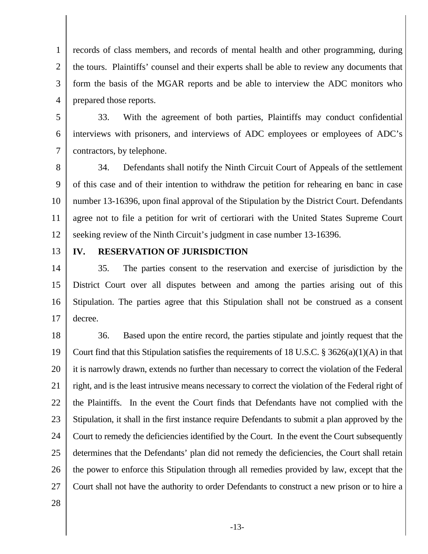1 2 3 4 records of class members, and records of mental health and other programming, during the tours. Plaintiffs' counsel and their experts shall be able to review any documents that form the basis of the MGAR reports and be able to interview the ADC monitors who prepared those reports.

5 6 7 33. With the agreement of both parties, Plaintiffs may conduct confidential interviews with prisoners, and interviews of ADC employees or employees of ADC's contractors, by telephone.

8 9 10 11 12 34. Defendants shall notify the Ninth Circuit Court of Appeals of the settlement of this case and of their intention to withdraw the petition for rehearing en banc in case number 13-16396, upon final approval of the Stipulation by the District Court. Defendants agree not to file a petition for writ of certiorari with the United States Supreme Court seeking review of the Ninth Circuit's judgment in case number 13-16396.

13

#### **IV. RESERVATION OF JURISDICTION**

14 15 16 17 35. The parties consent to the reservation and exercise of jurisdiction by the District Court over all disputes between and among the parties arising out of this Stipulation. The parties agree that this Stipulation shall not be construed as a consent decree.

18 19 20 21 22 23 24 25 26 27 36. Based upon the entire record, the parties stipulate and jointly request that the Court find that this Stipulation satisfies the requirements of 18 U.S.C.  $\S 3626(a)(1)(A)$  in that it is narrowly drawn, extends no further than necessary to correct the violation of the Federal right, and is the least intrusive means necessary to correct the violation of the Federal right of the Plaintiffs. In the event the Court finds that Defendants have not complied with the Stipulation, it shall in the first instance require Defendants to submit a plan approved by the Court to remedy the deficiencies identified by the Court. In the event the Court subsequently determines that the Defendants' plan did not remedy the deficiencies, the Court shall retain the power to enforce this Stipulation through all remedies provided by law, except that the Court shall not have the authority to order Defendants to construct a new prison or to hire a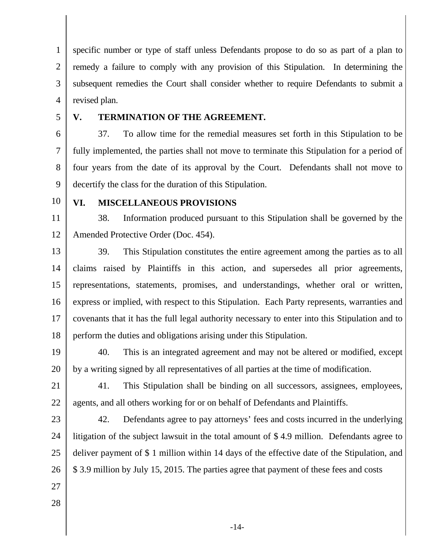1 2 3 4 specific number or type of staff unless Defendants propose to do so as part of a plan to remedy a failure to comply with any provision of this Stipulation. In determining the subsequent remedies the Court shall consider whether to require Defendants to submit a revised plan.

5

### **V. TERMINATION OF THE AGREEMENT.**

6 7 8 9 37. To allow time for the remedial measures set forth in this Stipulation to be fully implemented, the parties shall not move to terminate this Stipulation for a period of four years from the date of its approval by the Court. Defendants shall not move to decertify the class for the duration of this Stipulation.

10

#### **VI. MISCELLANEOUS PROVISIONS**

11 12 38. Information produced pursuant to this Stipulation shall be governed by the Amended Protective Order (Doc. 454).

13 14 15 16 17 18 39. This Stipulation constitutes the entire agreement among the parties as to all claims raised by Plaintiffs in this action, and supersedes all prior agreements, representations, statements, promises, and understandings, whether oral or written, express or implied, with respect to this Stipulation. Each Party represents, warranties and covenants that it has the full legal authority necessary to enter into this Stipulation and to perform the duties and obligations arising under this Stipulation.

19

20

40. This is an integrated agreement and may not be altered or modified, except by a writing signed by all representatives of all parties at the time of modification.

21 22 41. This Stipulation shall be binding on all successors, assignees, employees, agents, and all others working for or on behalf of Defendants and Plaintiffs.

23 24 25 26 42. Defendants agree to pay attorneys' fees and costs incurred in the underlying litigation of the subject lawsuit in the total amount of \$ 4.9 million. Defendants agree to deliver payment of \$ 1 million within 14 days of the effective date of the Stipulation, and \$ 3.9 million by July 15, 2015. The parties agree that payment of these fees and costs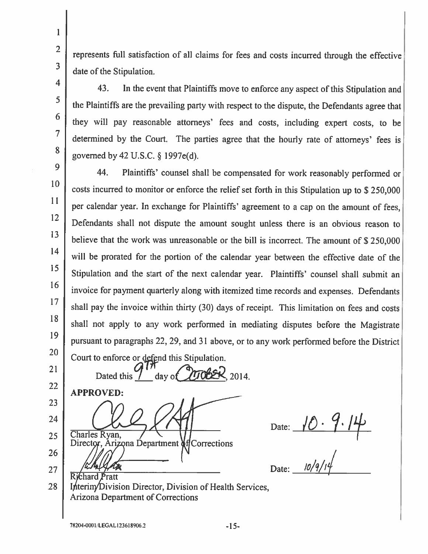27

represents full satisfaction of all claims for fees and costs incurred through the effective date of the Stipulation.

43. In the event that Plaintiffs move to enforce any aspect of this Stipulation and the Plaintiffs are the prevailing party with respect to the dispute, the Defendants agree that they will pay reasonable attorneys' fees and costs, including expert costs, to be determined by the Court. The parties agree that the hourly rate of attorneys' fees is governed by 42 U.S.C.  $\S$  1997e(d).

44. Plaintiffs' counsel shall be compensated for work reasonably performed or costs incurred to monitor or enforce the relief set forth in this Stipulation up to \$250,000 per calendar year. In exchange for Plaintiffs' agreement to a cap on the amount of fees, Defendants shall not dispute the amount sought unless there is an obvious reason to believe that the work was unreasonable or the bill is incorrect. The amount of \$250,000 will be prorated for the portion of the calendar year between the effective date of the Stipulation and the start of the next calendar year. Plaintiffs' counsel shall submit an invoice for payment quarterly along with itemized time records and expenses. Defendants shall pay the invoice within thirty (30) days of receipt. This limitation on fees and costs 18 shall not apply to any work performed in mediating disputes before the Magistrate 19 pursuant to paragraphs 22, 29, and 31 above, or to any work performed before the District 20

Court to enforce or defend this Stipulation. 21 Dated this 2014. dav of 22 **APPROVED:** 23 24 Charles Ryan. 25 Director, Arizona Department & flCorrections 26.

Date:  $10.9.14$ <br>Date:  $10/9/14$ 

**Richard Pratt** 28 Interim/Division Director, Division of Health Services. **Arizona Department of Corrections**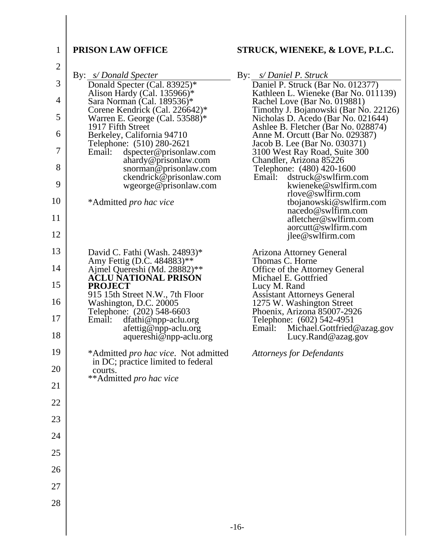# **PRISON LAW OFFICE**

1

# **STRUCK, WIENEKE, & LOVE, P.L.C.**

| $\overline{2}$ |                                                                                    |                                                                                                |
|----------------|------------------------------------------------------------------------------------|------------------------------------------------------------------------------------------------|
|                | By: s/Donald Specter                                                               | By: <i>s/Daniel P. Struck</i>                                                                  |
| 3              | Donald Specter (Cal. 83925)*<br>Alison Hardy (Cal. 135966)*                        | Daniel P. Struck (Bar No. 012377)<br>Kathleen L. Wieneke (Bar No. 011139)                      |
| 4              | Sara Norman (Cal. 189536)*<br>Corene Kendrick (Cal. 226642)*                       | Rachel Love (Bar No. 019881)<br>Timothy J. Bojanowski (Bar No. 22126)                          |
| 5              | Warren E. George (Cal. $53588$ )*<br>1917 Fifth Street                             | Nicholas D. Acedo (Bar No. 021644)<br>Ashlee B. Fletcher (Bar No. 028874)                      |
| 6              | Berkeley, California 94710<br>Telephone: (510) 280-2621                            | Anne M. Orcutt (Bar No. 029387)<br>Jacob B. Lee (Bar No. 030371)                               |
| 7              | dspecter@prisonlaw.com<br>Email:<br>ahardy@prisonlaw.com                           | 3100 West Ray Road, Suite 300<br>Chandler, Arizona 85226                                       |
| 8              | snorman@prisonlaw.com<br>ckendrick@prisonlaw.com                                   | Telephone: (480) 420-1600<br>dstruck@swlfirm.com<br>Email:                                     |
| 9              | wgeorge@prisonlaw.com                                                              | kwieneke@swlfirm.com<br>rlove@swlfirm.com                                                      |
| 10<br>11       | *Admitted <i>pro hac vice</i>                                                      | tbojanowski@swlfirm.com<br>nacedo@swlfirm.com<br>afletcher@swlfirm.com                         |
| 12             |                                                                                    | aorcutt@swlfirm.com<br>jlee@swlfirm.com                                                        |
| 13             | David C. Fathi (Wash. 24893)*                                                      | Arizona Attorney General                                                                       |
| 14             | Amy Fettig (D.C. 484883)**<br>Ajmel Quereshi (Md. 28882)**                         | Thomas C. Horne<br>Office of the Attorney General                                              |
| 15             | <b>ACLU NATIONAL PRISON</b><br><b>PROJECT</b><br>915 15th Street N.W., 7th Floor   | Michael E. Gottfried<br>Lucy M. Rand                                                           |
| 16             | Washington, D.C. 20005<br>Telephone: (202) 548-6603                                | <b>Assistant Attorneys General</b><br>1275 W. Washington Street<br>Phoenix, Arizona 85007-2926 |
| 17             | dfathi@npp-aclu.org<br>Email:<br>afettig@npp-aclu.org                              | Telephone: (602) 542-4951<br>Michael.Gottfried@azag.gov<br>Email:                              |
| 18             | aquereshi@npp-aclu.org                                                             | Lucy.Rand@azag.gov                                                                             |
| 19             | *Admitted <i>pro hac vice</i> . Not admitted<br>in DC; practice limited to federal | <b>Attorneys for Defendants</b>                                                                |
| 20             | courts.<br>** Admitted pro hac vice                                                |                                                                                                |
| 21             |                                                                                    |                                                                                                |
| 22             |                                                                                    |                                                                                                |
| 23             |                                                                                    |                                                                                                |
| 24             |                                                                                    |                                                                                                |
| 25             |                                                                                    |                                                                                                |
| 26             |                                                                                    |                                                                                                |
| 27             |                                                                                    |                                                                                                |
| 28             |                                                                                    |                                                                                                |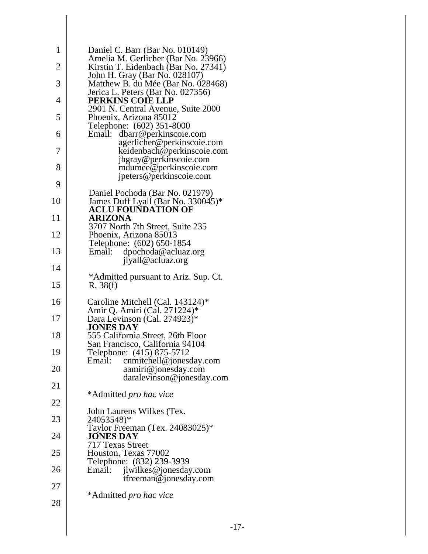| $\mathbf{1}$   | Daniel C. Barr (Bar No. 010149)                                                                    |
|----------------|----------------------------------------------------------------------------------------------------|
| $\overline{2}$ | Amelia M. Gerlicher (Bar No. 23966)<br>Kirstin T. Eidenbach (Bar No. 27341)                        |
| 3              | John H. Gray (Bar No. 028107)<br>Matthew B. du Mée (Bar No. 028468)                                |
| $\overline{4}$ | Jerica L. Peters (Bar No. 027356)<br>PERKINS COIE LLP<br>2901 N. Central Avenue, Suite 2000        |
| 5              | Phoenix, Arizona 85012                                                                             |
| 6              | Telephone: (602) 351-8000<br>Email: dbarr@perkinscoie.com                                          |
| 7              | agerlicher@perkinscoie.com<br>keidenbach@perkinscoie.com<br>jhgray@perkinscoie.com                 |
| 8              | mdumee@perkinscoie.com<br>ipeters@perkinscoie.com                                                  |
| 9              |                                                                                                    |
| 10             | Daniel Pochoda (Bar No. 021979)<br>James Duff Lyall (Bar No. 330045)*<br><b>ACLU FOUNDATION OF</b> |
| 11             | <b>ARIZONA</b>                                                                                     |
| 12             | 3707 North 7th Street, Suite 235<br>Phoenix, Arizona 85013                                         |
| 13             | Telephone: (602) 650-1854<br>Email: dpochoda@acluaz.org<br>jlyall@acluaz.org                       |
| 14             |                                                                                                    |
| 15             | *Admitted pursuant to Ariz. Sup. Ct.<br>R. 38(f)                                                   |
| 16             | Caroline Mitchell (Cal. 143124)*                                                                   |
| 17             | Amir Q. Amiri (Cal. 271224)*<br>Dara Levinson (Cal. 274923)*<br><b>JONES DAY</b>                   |
| 18             | 555 California Street, 26th Floor                                                                  |
| 19             | San Francisco, California 94104<br>Telephone: (415) 875-5712                                       |
| 20             | Email:<br>cnmitchell@jonesday.com<br>aamiri@jonesday.com<br>daralevinson@jonesday.com              |
| 21             |                                                                                                    |
| 22             | *Admitted <i>pro hac vice</i>                                                                      |
| 23             | John Laurens Wilkes (Tex.<br>24053548)*                                                            |
| 24             | Taylor Freeman (Tex. 24083025)*<br>JONES DAY<br>717 Texas Street                                   |
| 25             | Houston, Texas 77002                                                                               |
| 26             | Telephone: (832) 239-3939<br>jlwilkes@jonesday.com<br>Email:<br>tfreeman@jonesday.com              |
| 27             |                                                                                                    |
| 28             | *Admitted pro hac vice                                                                             |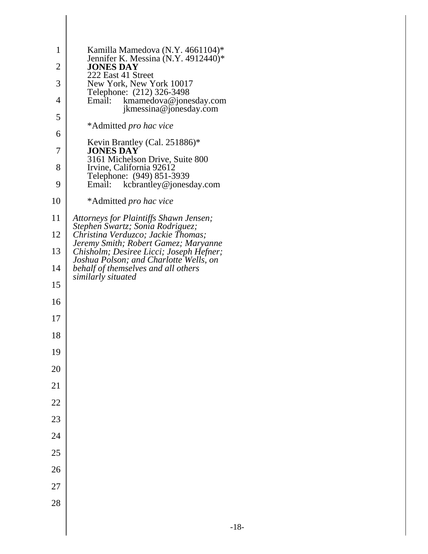| 1  | Kamilla Mamedova (N.Y. 4661104)*<br>Jennifer K. Messina (N.Y. 4912440)*              |
|----|--------------------------------------------------------------------------------------|
| 2  | <b>JONES DAY</b><br>222 East 41 Street                                               |
| 3  | New York, New York 10017<br>Telephone: (212) 326-3498                                |
| 4  | kmamedova@jonesday.com<br>Email:<br>jkmessina@jonesday.com                           |
| 5  | *Admitted pro hac vice                                                               |
| 6  |                                                                                      |
| 7  | Kevin Brantley (Cal. 251886)*<br><b>JONES DAY</b><br>3161 Michelson Drive, Suite 800 |
| 8  | Irvine, California 92612<br>Telephone: (949) 851-3939                                |
| 9  | kcbrantley@jonesday.com<br>Email:                                                    |
| 10 | *Admitted pro hac vice                                                               |
| 11 | Attorneys for Plaintiffs Shawn Jensen;<br>Stephen Swartz; Sonia Rodriguez;           |
| 12 | Christina Verduzco; Jackie Thomas;<br>Jeremy Smith; Robert Gamez; Maryanne           |
| 13 | Chisholm; Desiree Licci; Joseph Hefner;<br>Joshua Polson; and Charlotte Wells, on    |
| 14 | behalf of themselves and all others<br>similarly situated                            |
| 15 |                                                                                      |
| 16 |                                                                                      |
| 17 |                                                                                      |
| 18 |                                                                                      |
| 19 |                                                                                      |
| 20 |                                                                                      |
| 21 |                                                                                      |
| 22 |                                                                                      |
| 23 |                                                                                      |
| 24 |                                                                                      |
| 25 |                                                                                      |
| 26 |                                                                                      |
| 27 |                                                                                      |
| 28 |                                                                                      |
|    |                                                                                      |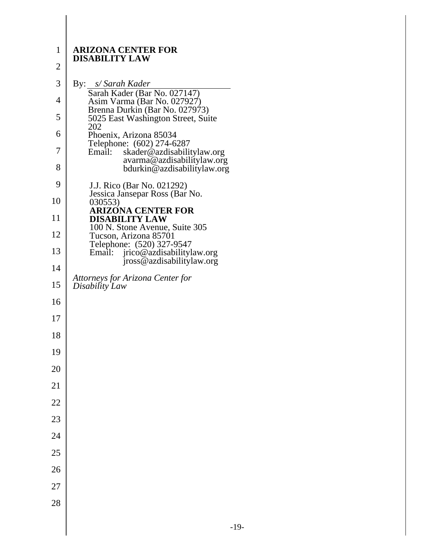| 1  | <b>ARIZONA CENTER FOR</b>                                            |
|----|----------------------------------------------------------------------|
| 2  | <b>DISABILITY LAW</b>                                                |
| 3  | By: s/Sarah Kader                                                    |
| 4  | Sarah Kader (Bar No. 027147)<br>Asim Varma (Bar No. 027927)          |
| 5  | Brenna Durkin (Bar No. 027973)<br>5025 East Washington Street, Suite |
|    | 202                                                                  |
| 6  | Phoenix, Arizona 85034<br>Telephone: (602) 274-6287                  |
| 7  | skader@azdisabilitylaw.org<br>Email:<br>avarma@azdisabilitylaw.org   |
| 8  | bdurkin@azdisabilitylaw.org                                          |
| 9  | J.J. Rico (Bar No. 021292)<br>Jessica Jansepar Ross (Bar No.         |
| 10 | 030553)<br><b>ARIZONA CENTER FOR</b>                                 |
| 11 | <b>DISABILITY LAW</b><br>100 N. Stone Avenue, Suite 305              |
| 12 | Tucson, Arizona 85701                                                |
| 13 | Telephone: (520) 327-9547<br>jrico@azdisabilitylaw.org<br>Email:     |
| 14 | jross@azdisabilitylaw.org                                            |
| 15 | Attorneys for Arizona Center for<br>Disability Law                   |
| 16 |                                                                      |
| 17 |                                                                      |
| 18 |                                                                      |
| 19 |                                                                      |
| 20 |                                                                      |
| 21 |                                                                      |
| 22 |                                                                      |
| 23 |                                                                      |
| 24 |                                                                      |
| 25 |                                                                      |
| 26 |                                                                      |
| 27 |                                                                      |
| 28 |                                                                      |
|    |                                                                      |